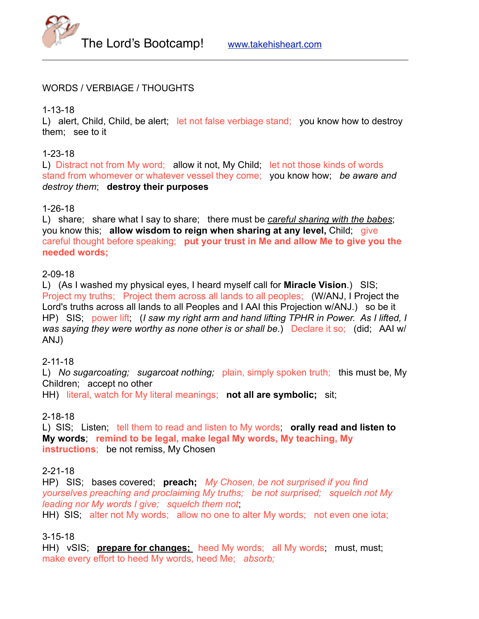

#### WORDS / VERBIAGE / THOUGHTS

1-13-18

L) alert, Child, Child, be alert; let not false verbiage stand; you know how to destroy them; see to it

### 1-23-18

L) Distract not from My word; allow it not, My Child; let not those kinds of words stand from whomever or whatever vessel they come; you know how; *be aware and destroy them*; **destroy their purposes**

#### 1-26-18

L) share; share what I say to share; there must be *careful sharing with the babes*; you know this; **allow wisdom to reign when sharing at any level,** Child; give careful thought before speaking; **put your trust in Me and allow Me to give you the needed words;**

#### 2-09-18

L) (As I washed my physical eyes, I heard myself call for **Miracle Vision**.) SIS; Project my truths; Project them across all lands to all peoples; (W/ANJ, I Project the Lord's truths across all lands to all Peoples and I AAI this Projection w/ANJ.) so be it HP) SIS; power lift, (*I saw my right arm and hand lifting TPHR in Power. As I lifted, I was saying they were worthy as none other is or shall be.*) Declare it so; (did; AAI w/ ANJ)

#### 2-11-18

L) *No sugarcoating; sugarcoat nothing;* plain, simply spoken truth; this must be, My Children; accept no other

HH) literal, watch for My literal meanings; **not all are symbolic;** sit;

#### 2-18-18

L) SIS; Listen; tell them to read and listen to My words; **orally read and listen to My words**; **remind to be legal, make legal My words, My teaching, My instructions**; be not remiss, My Chosen

#### 2-21-18

HP) SIS; bases covered; **preach;** *My Chosen, be not surprised if you find yourselves preaching and proclaiming My truths; be not surprised; squelch not My leading nor My words I give; squelch them not*;

HH) SIS; alter not My words; allow no one to alter My words; not even one iota;

## 3-15-18

HH) vSIS; **prepare for changes;** heed My words; all My words; must, must; make every effort to heed My words, heed Me; *absorb;*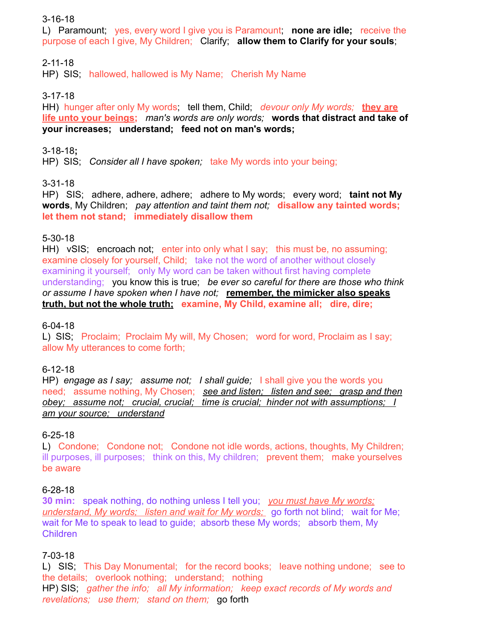### 3-16-18

L) Paramount; yes, every word I give you is Paramount; **none are idle;** receive the purpose of each I give, My Children; Clarify; **allow them to Clarify for your souls**;

# 2-11-18

HP) SIS; hallowed, hallowed is My Name; Cherish My Name

## 3-17-18

HH) hunger after only My words; tell them, Child; *devour only My words;* **they are life unto your beings;** *man's words are only words;* **words that distract and take of your increases; understand; feed not on man's words;**

### 3-18-18**;**

HP) SIS; *Consider all I have spoken;* take My words into your being;

## 3-31-18

HP) SIS; adhere, adhere, adhere; adhere to My words; every word; **taint not My words**, My Children; *pay attention and taint them not;* **disallow any tainted words; let them not stand; immediately disallow them**

## 5-30-18

HH) vSIS; encroach not; enter into only what I say; this must be, no assuming; examine closely for yourself, Child; take not the word of another without closely examining it yourself; only My word can be taken without first having complete understanding; you know this is true; *be ever so careful for there are those who think or assume I have spoken when I have not;* **remember, the mimicker also speaks truth, but not the whole truth; examine, My Child, examine all; dire, dire;**

## 6-04-18

L) SIS; Proclaim; Proclaim My will, My Chosen; word for word, Proclaim as I say; allow My utterances to come forth;

## 6-12-18

HP) *engage as I say; assume not; I shall guide;* I shall give you the words you need; assume nothing, My Chosen; *see and listen; listen and see; grasp and then obey; assume not; crucial, crucial; time is crucial; hinder not with assumptions; I am your source; understand*

## 6-25-18

L) Condone; Condone not; Condone not idle words, actions, thoughts, My Children; ill purposes, ill purposes; think on this, My children; prevent them; make yourselves be aware

#### 6-28-18

**30 min:** speak nothing, do nothing unless I tell you; *you must have My words; understand, My words; listen and wait for My words;* go forth not blind; wait for Me; wait for Me to speak to lead to guide; absorb these My words; absorb them, My Children

## 7-03-18

L) SIS; This Day Monumental; for the record books; leave nothing undone; see to the details; overlook nothing; understand; nothing HP) SIS; *gather the info; all My information; keep exact records of My words and revelations; use them; stand on them;* go forth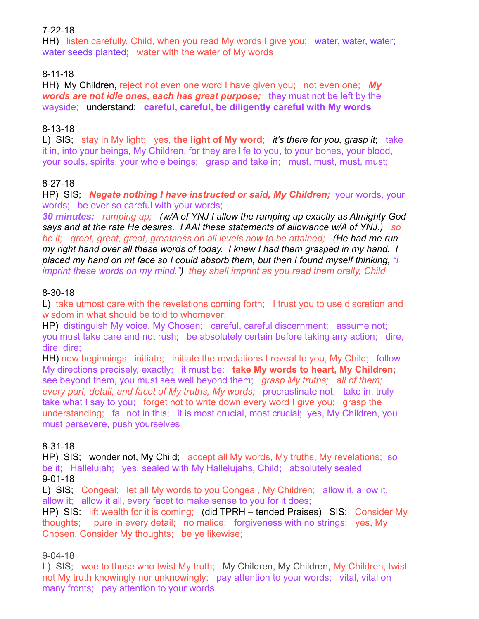## 7-22-18

HH) listen carefully, Child, when you read My words I give you; water, water, water; water seeds planted; water with the water of My words

# 8-11-18

HH) My Children, reject not even one word I have given you; not even one; *My words are not idle ones, each has great purpose;* they must not be left by the wayside; understand; **careful, careful, be diligently careful with My words**

# 8-13-18

L) SIS; stay in My light; yes, **the light of My word**; *it's there for you, grasp it*; take it in, into your beings, My Children, for they are life to you, to your bones, your blood, your souls, spirits, your whole beings; grasp and take in; must, must, must, must;

# 8-27-18

HP) SIS: **Negate nothing I have instructed or said, My Children;** your words, your words; be ever so careful with your words;

*30 minutes: ramping up; (w/A of YNJ I allow the ramping up exactly as Almighty God says and at the rate He desires. I AAI these statements of allowance w/A of YNJ.) so be it; great, great, great, greatness on all levels now to be attained; (He had me run my right hand over all these words of today. I knew I had them grasped in my hand. I placed my hand on mt face so I could absorb them, but then I found myself thinking, "I imprint these words on my mind.") they shall imprint as you read them orally, Child*

# 8-30-18

L) take utmost care with the revelations coming forth; I trust you to use discretion and wisdom in what should be told to whomever;

HP) distinguish My voice, My Chosen; careful, careful discernment; assume not: you must take care and not rush; be absolutely certain before taking any action; dire, dire, dire;

HH) new beginnings; initiate; initiate the revelations I reveal to you, My Child; follow My directions precisely, exactly; it must be; **take My words to heart, My Children;**  see beyond them, you must see well beyond them; *grasp My truths; all of them; every part, detail, and facet of My truths, My words;* procrastinate not; take in, truly take what I say to you; forget not to write down every word I give you; grasp the understanding; fail not in this; it is most crucial, most crucial; yes, My Children, you must persevere, push yourselves

# 8-31-18

HP) SIS; wonder not, My Child; accept all My words, My truths, My revelations; so be it; Hallelujah; yes, sealed with My Hallelujahs, Child; absolutely sealed 9-01-18

L) SIS; Congeal; let all My words to you Congeal, My Children; allow it, allow it, allow it; allow it all, every facet to make sense to you for it does;

HP) SIS: lift wealth for it is coming; (did TPRH – tended Praises) SIS: Consider My thoughts; pure in every detail; no malice; forgiveness with no strings; yes, My Chosen, Consider My thoughts; be ye likewise;

## 9-04-18

L) SIS; woe to those who twist My truth; My Children, My Children, My Children, twist not My truth knowingly nor unknowingly; pay attention to your words; vital, vital on many fronts; pay attention to your words